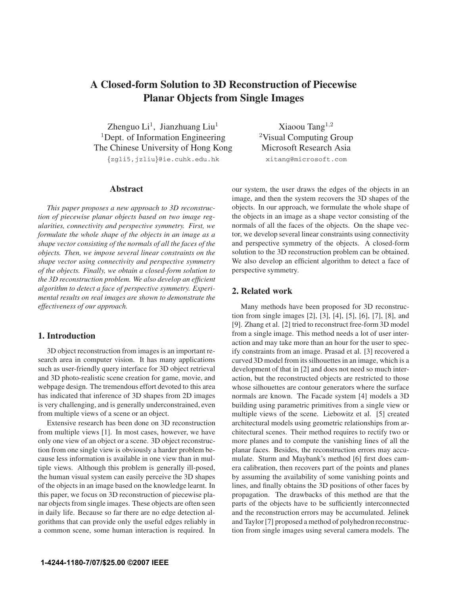# **A Closed-form Solution to 3D Reconstruction of Piecewise Planar Objects from Single Images**

Zhenguo  $Li<sup>1</sup>$ , Jianzhuang Liu<sup>1</sup> <sup>1</sup>Dept. of Information Engineering The Chinese University of Hong Kong {zgli5,jzliu}@ie.cuhk.edu.hk

## **Abstract**

*This paper proposes a new approach to 3D reconstruction of piecewise planar objects based on two image regularities, connectivity and perspective symmetry. First, we formulate the whole shape of the objects in an image as a shape vector consisting of the normals of all the faces of the objects. Then, we impose several linear constraints on the shape vector using connectivity and perspective symmetry of the objects. Finally, we obtain a closed-form solution to the 3D reconstruction problem. We also develop an efficient algorithm to detect a face of perspective symmetry. Experimental results on real images are shown to demonstrate the effectiveness of our approach.*

# **1. Introduction**

3D object reconstruction from images is an important research area in computer vision. It has many applications such as user-friendly query interface for 3D object retrieval and 3D photo-realistic scene creation for game, movie, and webpage design. The tremendous effort devoted to this area has indicated that inference of 3D shapes from 2D images is very challenging, and is generally underconstrained, even from multiple views of a scene or an object.

Extensive research has been done on 3D reconstruction from multiple views [1]. In most cases, however, we have only one view of an object or a scene. 3D object reconstruction from one single view is obviously a harder problem because less information is available in one view than in multiple views. Although this problem is generally ill-posed, the human visual system can easily perceive the 3D shapes of the objects in an image based on the knowledge learnt. In this paper, we focus on 3D reconstruction of piecewise planar objects from single images. These objects are often seen in daily life. Because so far there are no edge detection algorithms that can provide only the useful edges reliably in a common scene, some human interaction is required. In

Xiaoou Tang $^{1,2}$ <sup>2</sup>Visual Computing Group Microsoft Research Asia xitang@microsoft.com

our system, the user draws the edges of the objects in an image, and then the system recovers the 3D shapes of the objects. In our approach, we formulate the whole shape of the objects in an image as a shape vector consisting of the normals of all the faces of the objects. On the shape vector, we develop several linear constraints using connectivity and perspective symmetry of the objects. A closed-form solution to the 3D reconstruction problem can be obtained. We also develop an efficient algorithm to detect a face of perspective symmetry.

## **2. Related work**

Many methods have been proposed for 3D reconstruction from single images [2], [3], [4], [5], [6], [7], [8], and [9]. Zhang et al. [2] tried to reconstruct free-form 3D model from a single image. This method needs a lot of user interaction and may take more than an hour for the user to specify constraints from an image. Prasad et al. [3] recovered a curved 3D model from its silhouettes in an image, which is a development of that in [2] and does not need so much interaction, but the reconstructed objects are restricted to those whose silhouettes are contour generators where the surface normals are known. The Facade system [4] models a 3D building using parametric primitives from a single view or multiple views of the scene. Liebowitz et al. [5] created architectural models using geometric relationships from architectural scenes. Their method requires to rectify two or more planes and to compute the vanishing lines of all the planar faces. Besides, the reconstruction errors may accumulate. Sturm and Maybank's method [6] first does camera calibration, then recovers part of the points and planes by assuming the availability of some vanishing points and lines, and finally obtains the 3D positions of other faces by propagation. The drawbacks of this method are that the parts of the objects have to be sufficiently interconnected and the reconstruction errors may be accumulated. Jelinek and Taylor [7] proposed a method of polyhedron reconstruction from single images using several camera models. The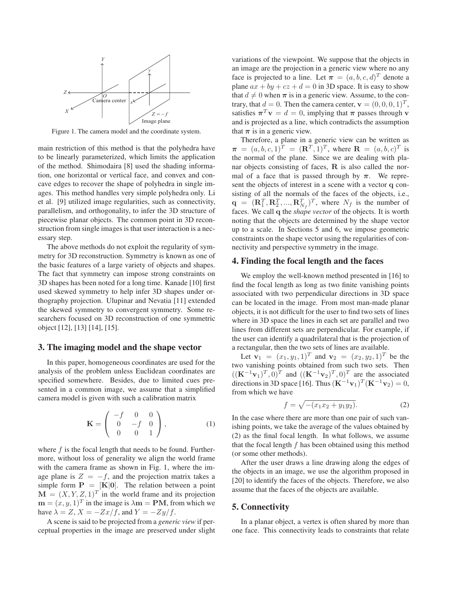

Figure 1. The camera model and the coordinate system.

main restriction of this method is that the polyhedra have to be linearly parameterized, which limits the application of the method. Shimodaira [8] used the shading information, one horizontal or vertical face, and convex and concave edges to recover the shape of polyhedra in single images. This method handles very simple polyhedra only. Li et al. [9] utilized image regularities, such as connectivity, parallelism, and orthogonality, to infer the 3D structure of piecewise planar objects. The common point in 3D reconstruction from single images is that user interaction is a necessary step.

The above methods do not exploit the regularity of symmetry for 3D reconstruction. Symmetry is known as one of the basic features of a large variety of objects and shapes. The fact that symmetry can impose strong constraints on 3D shapes has been noted for a long time. Kanade [10] first used skewed symmetry to help infer 3D shapes under orthography projection. Ulupinar and Nevatia [11] extended the skewed symmetry to convergent symmetry. Some researchers focused on 3D reconstruction of one symmetric object [12], [13] [14], [15].

## **3. The imaging model and the shape vector**

In this paper, homogeneous coordinates are used for the analysis of the problem unless Euclidean coordinates are specified somewhere. Besides, due to limited cues presented in a common image, we assume that a simplified camera model is given with such a calibration matrix

$$
\mathbf{K} = \begin{pmatrix} -f & 0 & 0 \\ 0 & -f & 0 \\ 0 & 0 & 1 \end{pmatrix},
$$
 (1)

where  $f$  is the focal length that needs to be found. Furthermore, without loss of generality we align the world frame with the camera frame as shown in Fig. 1, where the image plane is  $Z = -f$ , and the projection matrix takes a simple form  $P = [K|0]$ . The relation between a point  $\mathbf{M} = (X, Y, Z, 1)^T$  in the world frame and its projection  $\mathbf{m} = (x, y, 1)^T$  in the image is  $\lambda \mathbf{m} = \mathbf{P} \mathbf{M}$ , from which we have  $\lambda = Z$ ,  $X = -Zx/f$ , and  $Y = -Zy/f$ .

A scene is said to be projected from a *generic view* if perceptual properties in the image are preserved under slight variations of the viewpoint. We suppose that the objects in an image are the projection in a generic view where no any face is projected to a line. Let  $\boldsymbol{\pi} = (a, b, c, d)^T$  denote a plane  $ax + by + cz + d = 0$  in 3D space. It is easy to show that  $d \neq 0$  when  $\pi$  is in a generic view. Assume, to the contrary that  $d = 0$ . Then the camera center  $y = (0, 0, 0, 1)^T$ trary, that  $d = 0$ . Then the camera center,  $\mathbf{v} = (0, 0, 0, 1)^T$ , satisfies  $\pi^T v = d = 0$ , implying that  $\pi$  passes through v and is projected as a line, which contradicts the assumption that  $\pi$  is in a generic view.

Therefore, a plane in a generic view can be written as  $\pi = (a, b, c, 1)^T = (\mathbb{R}^T, 1)^T$ , where  $\mathbb{R} = (a, b, c)^T$  is the normal of the plane. Since we are dealing with planar objects consisting of faces, **R** is also called the normal of a face that is passed through by  $\pi$ . We represent the objects of interest in a scene with a vector **q** consisting of all the normals of the faces of the objects, i.e.,  $\mathbf{q} = (\mathbf{R}_1^T, \mathbf{R}_2^T, ..., \mathbf{R}_{N_f}^T)^T$ , where  $N_f$  is the number of faces. We call  $\mathbf{q}$  the *shape vector* of the objects. It is worth faces. We call **q** the *shape vector* of the objects. It is worth noting that the objects are determined by the shape vector up to a scale. In Sections 5 and 6, we impose geometric constraints on the shape vector using the regularities of connectivity and perspective symmetry in the image.

#### **4. Finding the focal length and the faces**

We employ the well-known method presented in [16] to find the focal length as long as two finite vanishing points associated with two perpendicular directions in 3D space can be located in the image. From most man-made planar objects, it is not difficult for the user to find two sets of lines where in 3D space the lines in each set are parallel and two lines from different sets are perpendicular. For example, if the user can identify a quadrilateral that is the projection of a rectangular, then the two sets of lines are available.

Let  $\mathbf{v}_1 = (x_1, y_1, 1)^T$  and  $\mathbf{v}_2 = (x_2, y_2, 1)^T$  be the two vanishing points obtained from such two sets. Then  $((\mathbf{K}^{-1}\mathbf{v}_1)^T, 0)^T$  and  $((\mathbf{K}^{-1}\mathbf{v}_2)^T, 0)^T$  are the associated directions in 3D space [16]. Thus  $(\mathbf{K}^{-1}\mathbf{v}_1)^T (\mathbf{K}^{-1}\mathbf{v}_2)=0$ , from which we have

$$
f = \sqrt{- (x_1 x_2 + y_1 y_2)}.
$$
 (2)

In the case where there are more than one pair of such vanishing points, we take the average of the values obtained by (2) as the final focal length. In what follows, we assume that the focal length  $f$  has been obtained using this method (or some other methods).

After the user draws a line drawing along the edges of the objects in an image, we use the algorithm proposed in [20] to identify the faces of the objects. Therefore, we also assume that the faces of the objects are available.

## **5. Connectivity**

In a planar object, a vertex is often shared by more than one face. This connectivity leads to constraints that relate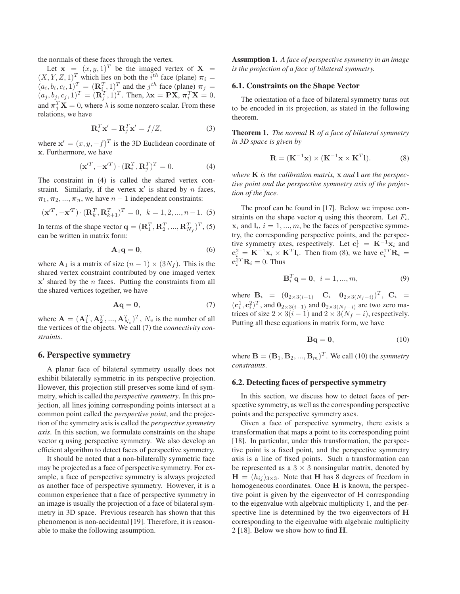the normals of these faces through the vertex.<br>Let  $\mathbf{x} = (x, y, 1)^T$  be the imaged vertex of  $\mathbf{X} =$ Let  $\mathbf{x} = (x, y, 1)^T$  be the imaged vertex of  $\mathbf{X} = [X \times Z, 1]^T$  which lies on both the *i*<sup>th</sup> face (plane)  $\boldsymbol{\pi}$ .  $(X, Y, Z, 1)^T$  which lies on both the *i*<sup>th</sup> face (plane)  $\pi_i = (a \cdot b \cdot c \cdot 1)^T - (\mathbf{R}^T \cdot 1)^T$  and the *i*<sup>th</sup> face (plane)  $\pi_i =$  $(a_i, b_i, c_i, 1)^T = (\mathbf{R}_i^T, 1)^T$  and the  $j^{th}$  face (plane)  $\pi_j = (a_i, b_i, c_i, 1)^T - (\mathbf{R}_i^T, 1)^T$ . Then  $\lambda \mathbf{x} = \mathbf{P} \mathbf{X} - \pi^T \mathbf{X} = 0$ .  $(a_j, b_j, c_j, 1)^T = (\mathbf{R}_j^T, 1)^T$ . Then,  $\lambda \mathbf{x} = \mathbf{P}\mathbf{X}$ ,  $\pi_i^T \mathbf{X} = 0$ , and  $\pi_i^T \mathbf{X} = 0$ , where is a some non-zero scalar. From these and  $\pi_j^T \mathbf{X} = 0$ , where  $\lambda$  is some nonzero scalar. From these relations we have relations, we have

$$
\mathbf{R}_i^T \mathbf{x}' = \mathbf{R}_j^T \mathbf{x}' = f/Z,\tag{3}
$$

where  $\mathbf{x}' = (x, y, -f)^T$  is the 3D Euclidean coordinate of  $\mathbf{x}$ . Furthermore, we have **x**. Furthermore, we have

$$
(\mathbf{x}^{\prime T}, -\mathbf{x}^{\prime T}) \cdot (\mathbf{R}_i^T, \mathbf{R}_j^T)^T = 0.
$$
 (4)

The constraint in (4) is called the shared vertex constraint. Similarly, if the vertex  $x'$  is shared by n faces,  $\pi_1, \pi_2, ..., \pi_n$ , we have  $n-1$  independent constraints:

$$
(\mathbf{x}'^T, -\mathbf{x}'^T) \cdot (\mathbf{R}_k^T, \mathbf{R}_{k+1}^T)^T = 0, \quad k = 1, 2, ..., n-1.
$$
 (5)

In terms of the shape vector  $\mathbf{q} = (\mathbf{R}_1^T, \mathbf{R}_2^T, ..., \mathbf{R}_{N_f}^T)^T$ , (5) can be written in matrix form:

$$
\mathbf{A}_1 \mathbf{q} = \mathbf{0},\tag{6}
$$

where  $\mathbf{A}_1$  is a matrix of size  $(n - 1) \times (3N_f)$ . This is the shared vertex constraint contributed by one imaged vertex  $x'$  shared by the  $n$  faces. Putting the constraints from all the shared vertices together, we have

$$
Aq = 0,\t\t(7)
$$

where  $\mathbf{A} = (\mathbf{A}_1^T, \mathbf{A}_2^T, ..., \mathbf{A}_{N_v}^T)^T$ ,  $N_v$  is the number of all<br>the vertices of the objects We call (7) the connectivity conthe vertices of the objects. We call (7) the *connectivity constraints*.

## **6. Perspective symmetry**

A planar face of bilateral symmetry usually does not exhibit bilaterally symmetric in its perspective projection. However, this projection still preserves some kind of symmetry, which is called the *perspective symmetry*. In this projection, all lines joining corresponding points intersect at a common point called the *perspective point*, and the projection of the symmetry axis is called the *perspective symmetry axis*. In this section, we formulate constraints on the shape vector **q** using perspective symmetry. We also develop an efficient algorithm to detect faces of perspective symmetry.

It should be noted that a non-bilaterally symmetric face may be projected as a face of perspective symmetry. For example, a face of perspective symmetry is always projected as another face of perspective symmetry. However, it is a common experience that a face of perspective symmetry in an image is usually the projection of a face of bilateral symmetry in 3D space. Previous research has shown that this phenomenon is non-accidental [19]. Therefore, it is reasonable to make the following assumption.

**Assumption 1.** *A face of perspective symmetry in an image is the projection of a face of bilateral symmetry.*

## **6.1. Constraints on the Shape Vector**

The orientation of a face of bilateral symmetry turns out to be encoded in its projection, as stated in the following theorem.

**Theorem 1.** *The normal* **R** *of a face of bilateral symmetry in 3D space is given by*

$$
\mathbf{R} = (\mathbf{K}^{-1}\mathbf{x}) \times (\mathbf{K}^{-1}\mathbf{x} \times \mathbf{K}^{T}\mathbf{I}).
$$
 (8)

*where* **K** *is the calibration matrix,* **x** *and* **l** *are the perspective point and the perspective symmetry axis of the projection of the face.*

The proof can be found in [17]. Below we impose constraints on the shape vector **q** using this theorem. Let  $F_i$ ,  $x_i$  and  $l_i$ ,  $i = 1, ..., m$ , be the faces of perspective symmetry, the corresponding perspective points, and the perspective symmetry axes, respectively. Let  $\mathbf{c}_i^1 = \mathbf{K}^{-1}\mathbf{x}_i$  and  $\mathbf{c}^2 = \mathbf{K}^{-1}\mathbf{x} \times \mathbf{K}^T\mathbf{l}$ . Then from (8) we have  $\mathbf{c}^{1T}\mathbf{R}$ .  $\mathbf{c}_i^2 = \mathbf{K}^{-1} \mathbf{x}_i \times \mathbf{K}^T \mathbf{l}_i$ . Then from (8), we have  $\mathbf{c}_i^1$ <sup>T</sup>  $\mathbf{R}_i = \mathbf{c}^2$ <sup>T</sup>  $\mathbf{R}_i = \mathbf{c}^2$  $\mathbf{c}_i^2 T \mathbf{R}_i = 0$ . Thus

$$
\mathbf{B}_i^T \mathbf{q} = \mathbf{0}, \ \ i = 1, ..., m,
$$
 (9)

where  $B_i = (0_{2 \times 3(i-1)} \quad C_i \quad 0_{2 \times 3(N_f-i)})^T$ ,  $C_i =$  $(c_i^1, c_i^2)^T$ , and  $\mathbf{0}_{2 \times 3(i-1)}$  and  $\mathbf{0}_{2 \times 3(N_f-i)}$  are two zero ma-<br>trices of size  $2 \times 3(i-1)$  and  $2 \times 3(N_f-i)$  respectively trices of size  $2 \times 3(i-1)$  and  $2 \times 3(N_f - i)$ , respectively. Putting all these equations in matrix form, we have

$$
\mathbf{Bq} = \mathbf{0},\tag{10}
$$

where  $\mathbf{B} = (\mathbf{B}_1, \mathbf{B}_2, ..., \mathbf{B}_m)^T$ . We call (10) the *symmetry constraints*.

#### **6.2. Detecting faces of perspective symmetry**

In this section, we discuss how to detect faces of perspective symmetry, as well as the corresponding perspective points and the perspective symmetry axes.

Given a face of perspective symmetry, there exists a transformation that maps a point to its corresponding point [18]. In particular, under this transformation, the perspective point is a fixed point, and the perspective symmetry axis is a line of fixed points. Such a transformation can be represented as a  $3 \times 3$  nonsingular matrix, denoted by  $H = (h_{ij})_{3\times 3}$ . Note that **H** has 8 degrees of freedom in homogeneous coordinates. Once **H** is known, the perspective point is given by the eigenvector of **H** corresponding to the eigenvalue with algebraic multiplicity 1, and the perspective line is determined by the two eigenvectors of **H** corresponding to the eigenvalue with algebraic multiplicity 2 [18]. Below we show how to find **H**.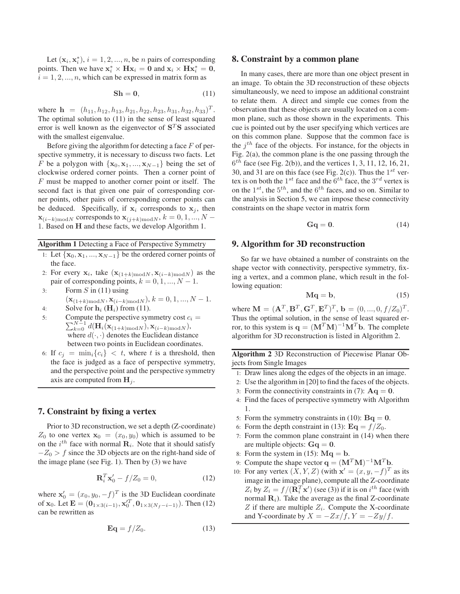Let  $(\mathbf{x}_i, \mathbf{x}_i^*), i = 1, 2, ..., n$ , be *n* pairs of corresponding<br>ints. Then we have  $\mathbf{x}^* \times \mathbf{H} \mathbf{x}_i = \mathbf{0}$  and  $\mathbf{x}_i \times \mathbf{H} \mathbf{x}_i = \mathbf{0}$ points. Then we have  $\mathbf{x}_i^* \times \mathbf{H} \mathbf{x}_i = \mathbf{0}$  and  $\mathbf{x}_i \times \mathbf{H} \mathbf{x}_i^* = \mathbf{0}$ ,  $i = 1, 2, \ldots, n$  which can be expressed in matrix form as  $i = 1, 2, ..., n$ , which can be expressed in matrix form as

$$
\mathbf{Sh} = \mathbf{0},\tag{11}
$$

where  $\mathbf{h} = (h_{11}, h_{12}, h_{13}, h_{21}, h_{22}, h_{23}, h_{31}, h_{32}, h_{33})^T$ . The optimal solution to (11) in the sense of least squared error is well known as the eigenvector of  $S<sup>T</sup>S$  associated with the smallest eigenvalue.

Before giving the algorithm for detecting a face  $F$  of perspective symmetry, it is necessary to discuss two facts. Let F be a polygon with  $\{x_0, x_1, ..., x_{N-1}\}$  being the set of clockwise ordered corner points. Then a corner point of  $F$  must be mapped to another corner point or itself. The second fact is that given one pair of corresponding corner points, other pairs of corresponding corner points can be deduced. Specifically, if  $x_i$  corresponds to  $x_j$ , then  $\mathbf{x}_{(i-k) \text{mod} N}$  corresponds to  $\mathbf{x}_{(j+k) \text{mod} N}$ ,  $k = 0, 1, ..., N -$ 1. Based on **<sup>H</sup>** and these facts, we develop Algorithm 1.

## **Algorithm 1** Detecting a Face of Perspective Symmetry

- 1: Let  $\{x_0, x_1, ..., x_{N-1}\}$  be the ordered corner points of the face.
- 2: For every  $\mathbf{x}_i$ , take  $(\mathbf{x}_{(1+k) \text{mod} N}, \mathbf{x}_{(i-k) \text{mod} N})$  as the pair of corresponding points,  $k = 0, 1, ..., N - 1$ .
- 3: Form  $S$  in (11) using

$$
(\mathbf{x}_{(1+k) \text{mod} N}, \mathbf{x}_{(i-k) \text{mod} N}), k = 0, 1, ..., N - 1.
$$
  
4: Solve for  $\mathbf{h}_i$  ( $\mathbf{H}_i$ ) from (11).

- 
- 5:  $\sum_{k=0}^{N-1} d(\mathbf{H}_i(\mathbf{x}_{(1+k) \text{ mod } N}), \mathbf{x}_{(i-k) \text{ mod } N}),$ <br>where  $d(.)$  denotes the Euclidean distan Compute the perspective symmetry cost  $c_i$  = where  $d(\cdot, \cdot)$  denotes the Euclidean distance between two points in Euclidean coordinates.
- 6: If  $c_i = \min_i \{c_i\} < t$ , where t is a threshold, then the face is judged as a face of perspective symmetry, and the perspective point and the perspective symmetry axis are computed from  $\mathbf{H}_i$ .

## **7. Constraint by fixing a vertex**

Prior to 3D reconstruction, we set a depth (Z-coordinate)  $Z_0$  to one vertex  $\mathbf{x}_0 = (x_0, y_0)$  which is assumed to be on the  $i^{th}$  face with normal  $\mathbf{R}_i$ . Note that it should satisfy  $-Z_0 > f$  since the 3D objects are on the right-hand side of the image plane (see Fig. 1). Then by (3) we have

$$
\mathbf{R}_i^T \mathbf{x}'_0 - f/Z_0 = 0,\t(12)
$$

where  $\mathbf{x}'_0 = (x_0, y_0, -f)^T$  is the 3D Euclidean coordinate<br>
of  $\mathbf{x}_0$ , Let  $\mathbf{E} = (\mathbf{0}, \alpha)(x_0) \mathbf{x}'^T$ ,  $\mathbf{0}, \alpha(y_0)$ ,  $\alpha(y_0)$ , Then (12) of **x**<sub>0</sub>. Let  $\mathbf{E} = (\mathbf{0}_{1 \times 3(i-1)}, \mathbf{x}_0^T, \mathbf{0}_{1 \times 3(N_f-i-1)})$ . Then (12) can be rewritten as

$$
\mathbf{Eq} = f/Z_0. \tag{13}
$$

#### **8. Constraint by a common plane**

In many cases, there are more than one object present in an image. To obtain the 3D reconstruction of these objects simultaneously, we need to impose an additional constraint to relate them. A direct and simple cue comes from the observation that these objects are usually located on a common plane, such as those shown in the experiments. This cue is pointed out by the user specifying which vertices are on this common plane. Suppose that the common face is the  $i^{th}$  face of the objects. For instance, for the objects in Fig. 2(a), the common plane is the one passing through the  $6<sup>th</sup>$  face (see Fig. 2(b)), and the vertices 1, 3, 11, 12, 16, 21, 30, and 31 are on this face (see Fig. 2(c)). Thus the  $1^{st}$  vertex is on both the  $1^{st}$  face and the  $6^{th}$  face, the  $3^{rd}$  vertex is on the  $1^{st}$ , the  $5^{th}$ , and the  $6^{th}$  faces, and so on. Similar to the analysis in Section 5, we can impose these connectivity constraints on the shape vector in matrix form

$$
Gq = 0. \t(14)
$$

## **9. Algorithm for 3D reconstruction**

So far we have obtained a number of constraints on the shape vector with connectivity, perspective symmetry, fixing a vertex, and a common plane, which result in the following equation:

$$
Mq = b,\t\t(15)
$$

where  $\mathbf{M} = (\mathbf{A}^T, \mathbf{B}^T, \mathbf{G}^T, \mathbf{E}^T)^T$ ,  $\mathbf{b} = (0, ..., 0, f/Z_0)^T$ .<br>Thus the optimal solution in the sense of least squared er-Thus the optimal solution, in the sense of least squared error, to this system is  $q = (M^T M)^{-1} M^T b$ . The complete algorithm for 3D reconstruction is listed in Algorithm 2.

**Algorithm 2** 3D Reconstruction of Piecewise Planar Objects from Single Images

- 1: Draw lines along the edges of the objects in an image.
- 2: Use the algorithm in [20] to find the faces of the objects.
- 3: Form the connectivity constraints in (7):  $Aq = 0$ .
- 4: Find the faces of perspective symmetry with Algorithm 1.
- 5: Form the symmetry constraints in (10):  $Bq = 0$ .
- 6: Form the depth constraint in (13):  $\mathbf{Eq} = f/Z_0$ .
- 7: Form the common plane constraint in (14) when there are multiple objects:  $Gq = 0$ .
- 8: Form the system in (15):  $\mathbf{Mq} = \mathbf{b}$ .
- 9: Compute the shape vector  $\mathbf{q} = (\mathbf{M}^T \mathbf{M})^{-1} \mathbf{M}^T \mathbf{b}$ .
- 10: For any vertex  $(X, Y, Z)$  (with  $\mathbf{x}' = (x, y, -f)^T$  as its<br>image in the image plane) compute all the Z-coordinate image in the image plane), compute all the Z-coordinate  $Z_i$  by  $Z_i = f/(\mathbf{R}_i^T \mathbf{x}')$  (see (3)) if it is on *i*<sup>th</sup> face (with normal **R**.) Take the average as the final Z-coordinate normal  $\mathbf{R}_i$ ). Take the average as the final Z-coordinate  $Z$  if there are multiple  $Z_i$ . Compute the X-coordinate and Y-coordinate by  $X = -\frac{Zx}{f}$ ,  $Y = -\frac{Zy}{f}$ .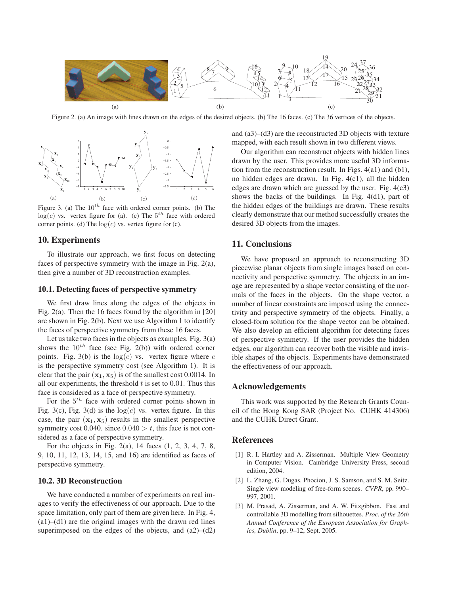

Figure 2. (a) An image with lines drawn on the edges of the desired objects. (b) The 16 faces. (c) The 36 vertices of the objects.



Figure 3. (a) The  $10^{th}$  face with ordered corner points. (b) The  $log(c)$  vs. vertex figure for (a). (c) The  $5<sup>th</sup>$  face with ordered corner points. (d) The  $log(c)$  vs. vertex figure for (c).

## **10. Experiments**

To illustrate our approach, we first focus on detecting faces of perspective symmetry with the image in Fig. 2(a), then give a number of 3D reconstruction examples.

## **10.1. Detecting faces of perspective symmetry**

We first draw lines along the edges of the objects in Fig. 2(a). Then the 16 faces found by the algorithm in [20] are shown in Fig. 2(b). Next we use Algorithm 1 to identify the faces of perspective symmetry from these 16 faces.

Let us take two faces in the objects as examples. Fig. 3(a) shows the  $10^{th}$  face (see Fig. 2(b)) with ordered corner points. Fig. 3(b) is the  $log(c)$  vs. vertex figure where c is the perspective symmetry cost (see Algorithm 1). It is clear that the pair  $(\mathbf{x}_1, \mathbf{x}_5)$  is of the smallest cost 0.0014. In all our experiments, the threshold  $t$  is set to 0.01. Thus this face is considered as a face of perspective symmetry.

For the  $5<sup>th</sup>$  face with ordered corner points shown in Fig. 3(c), Fig. 3(d) is the  $log(c)$  vs. vertex figure. In this case, the pair  $(\mathbf{x}_1, \mathbf{x}_5)$  results in the smallest perspective symmetry cost 0.040. since  $0.040 > t$ , this face is not considered as a face of perspective symmetry.

For the objects in Fig. 2(a), 14 faces (1, 2, 3, 4, 7, 8, 9, 10, 11, 12, 13, 14, 15, and 16) are identified as faces of perspective symmetry.

#### **10.2. 3D Reconstruction**

We have conducted a number of experiments on real images to verify the effectiveness of our approach. Due to the space limitation, only part of them are given here. In Fig. 4,  $(a1)$ – $(d1)$  are the original images with the drawn red lines superimposed on the edges of the objects, and  $(a2)$ – $(d2)$  and (a3)–(d3) are the reconstructed 3D objects with texture mapped, with each result shown in two different views.

Our algorithm can reconstruct objects with hidden lines drawn by the user. This provides more useful 3D information from the reconstruction result. In Figs. 4(a1) and (b1), no hidden edges are drawn. In Fig. 4(c1), all the hidden edges are drawn which are guessed by the user. Fig. 4(c3) shows the backs of the buildings. In Fig. 4(d1), part of the hidden edges of the buildings are drawn. These results clearly demonstrate that our method successfully creates the desired 3D objects from the images.

## **11. Conclusions**

We have proposed an approach to reconstructing 3D piecewise planar objects from single images based on connectivity and perspective symmetry. The objects in an image are represented by a shape vector consisting of the normals of the faces in the objects. On the shape vector, a number of linear constraints are imposed using the connectivity and perspective symmetry of the objects. Finally, a closed-form solution for the shape vector can be obtained. We also develop an efficient algorithm for detecting faces of perspective symmetry. If the user provides the hidden edges, our algorithm can recover both the visible and invisible shapes of the objects. Experiments have demonstrated the effectiveness of our approach.

## **Acknowledgements**

This work was supported by the Research Grants Council of the Hong Kong SAR (Project No. CUHK 414306) and the CUHK Direct Grant.

## **References**

- [1] R. I. Hartley and A. Zisserman. Multiple View Geometry in Computer Vision. Cambridge University Press, second edition, 2004.
- [2] L. Zhang, G. Dugas. Phocion, J. S. Samson, and S. M. Seitz. Single view modeling of free-form scenes. *CVPR*, pp. 990– 997, 2001.
- [3] M. Prasad, A. Zisserman, and A. W. Fitzgibbon. Fast and controllable 3D modelling from silhouettes. *Proc. of the 26th Annual Conference of the European Association for Graphics, Dublin*, pp. 9–12, Sept. 2005.